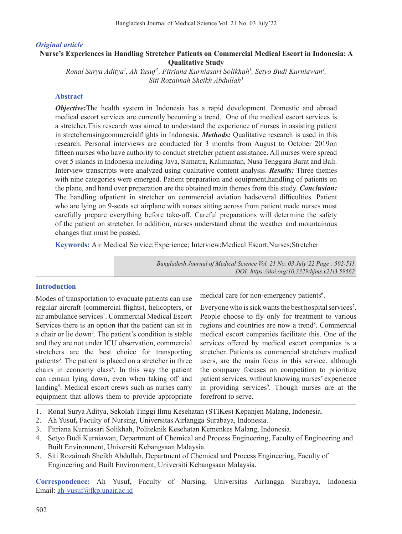### *Original article*

## **Nurse's Experiences in Handling Stretcher Patients on Commercial Medical Escort in Indonesia: A Qualitative Study**

*Ronal Surya Aditya1 , Ah Yusuf <sup>2</sup> , Fitriana Kurniasari Solikhah3 , Setyo Budi Kurniawan4 , Siti Rozaimah Sheikh Abdullah5*

### **Abstract**

*Objective*:The health system in Indonesia has a rapid development. Domestic and abroad medical escort services are currently becoming a trend. One of the medical escort services is a stretcher.This research was aimed to understand the experience of nurses in assisting patient in stretcherusingcommercialflights in Indonesia. *Methods:* Qualitative research is used in this research. Personal interviews are conducted for 3 months from August to October 2019on fifteen nurses who have authority to conduct stretcher patient assistance. All nurses were spread over 5 islands in Indonesia including Java, Sumatra, Kalimantan, Nusa Tenggara Barat and Bali. Interview transcripts were analyzed using qualitative content analysis. *Results:* Three themes with nine categories were emerged. Patient preparation and equipment,handling of patients on the plane, and hand over preparation are the obtained main themes from this study. *Conclusion:*  The handling ofpatient in stretcher on commercial aviation hadseveral difficulties. Patient who are lying on 9-seats set airplane with nurses sitting across from patient made nurses must carefully prepare everything before take-off. Careful preparations will determine the safety of the patient on stretcher. In addition, nurses understand about the weather and mountainous changes that must be passed.

**Keywords:** Air Medical Service;Experience; Interview;Medical Escort;Nurses;Stretcher

*Bangladesh Journal of Medical Science Vol. 21 No. 03 July'22 Page : 502-511 DOI: https://doi.org/10.3329/bjms.v21i3.59562*

#### **Introduction**

Modes of transportation to evacuate patients can use regular aircraft (commercial flights), helicopters, or air ambulance services<sup>1</sup>. Commercial Medical Escort Services there is an option that the patient can sit in a chair or lie down<sup>2</sup>. The patient's condition is stable and they are not under ICU observation, commercial stretchers are the best choice for transporting patients<sup>3</sup>. The patient is placed on a stretcher in three chairs in economy class<sup>4</sup>. In this way the patient can remain lying down, even when taking off and landing<sup>5</sup>. Medical escort crews such as nurses carry equipment that allows them to provide appropriate

medical care for non-emergency patients<sup>6</sup>.

Everyone who is sick wants the best hospital services<sup>7</sup>. People choose to fly only for treatment to various regions and countries are now a trend<sup>8</sup>. Commercial medical escort companies facilitate this. One of the services offered by medical escort companies is a stretcher. Patients as commercial stretchers medical users, are the main focus in this service. although the company focuses on competition to prioritize patient services, without knowing nurses' experience in providing services<sup>9</sup>. Though nurses are at the forefront to serve.

- 1. Ronal Surya Aditya, Sekolah Tinggi Ilmu Kesehatan (STIKes) Kepanjen Malang, Indonesia.
- 2. Ah Yusuf**,** Faculty of Nursing, Universitas Airlangga Surabaya, Indonesia.
- 3. Fitriana Kurniasari Solikhah, Politeknik Kesehatan Kemenkes Malang, Indonesia.
- 4. Setyo Budi Kurniawan, Department of Chemical and Process Engineering, Faculty of Engineering and Built Environment, Universiti Kebangsaan Malaysia.
- 5. Siti Rozaimah Sheikh Abdullah, Department of Chemical and Process Engineering, Faculty of Engineering and Built Environment, Universiti Kebangsaan Malaysia.

**Correspondence:** Ah Yusuf**,** Faculty of Nursing, Universitas Airlangga Surabaya, Indonesia Email: ah-yusuf@fkp.unair.ac.id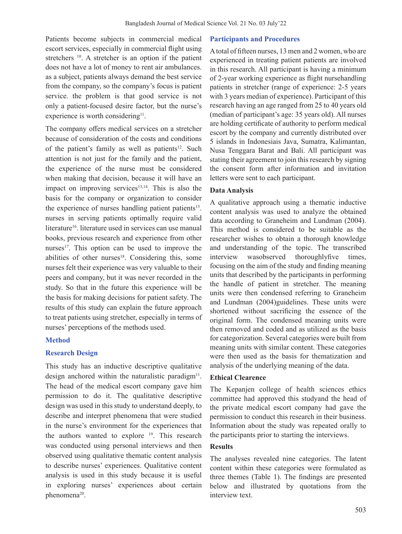Patients become subjects in commercial medical escort services, especially in commercial flight using stretchers  $10$ . A stretcher is an option if the patient does not have a lot of money to rent air ambulances. as a subject, patients always demand the best service from the company, so the company's focus is patient service. the problem is that good service is not only a patient-focused desire factor, but the nurse's experience is worth considering $11$ .

The company offers medical services on a stretcher because of consideration of the costs and conditions of the patient's family as well as patients<sup>12</sup>. Such attention is not just for the family and the patient, the experience of the nurse must be considered when making that decision, because it will have an impact on improving services $13,14$ . This is also the basis for the company or organization to consider the experience of nurses handling patient patients<sup>15</sup>. nurses in serving patients optimally require valid literature<sup>16</sup>. literature used in services can use manual books, previous research and experience from other nurses $17$ . This option can be used to improve the abilities of other nurses $18$ . Considering this, some nurses felt their experience was very valuable to their peers and company, but it was never recorded in the study. So that in the future this experience will be the basis for making decisions for patient safety. The results of this study can explain the future approach to treat patients using stretcher, especially in terms of nurses' perceptions of the methods used.

### **Method**

### **Research Design**

This study has an inductive descriptive qualitative design anchored within the naturalistic paradigm<sup>11</sup>. The head of the medical escort company gave him permission to do it. The qualitative descriptive design was used in this study to understand deeply, to describe and interpret phenomena that were studied in the nurse's environment for the experiences that the authors wanted to explore 19. This research was conducted using personal interviews and then observed using qualitative thematic content analysis to describe nurses' experiences. Qualitative content analysis is used in this study because it is useful in exploring nurses' experiences about certain phenomena<sup>20</sup>.

#### **Participants and Procedures**

Atotal of fifteen nurses, 13 men and 2 women, who are experienced in treating patient patients are involved in this research. All participant is having a minimum of 2-year working experience as flight nursehandling patients in stretcher (range of experience: 2-5 years with 3 years median of experience). Participant of this research having an age ranged from 25 to 40 years old (median of participant's age: 35 years old). All nurses are holding certificate of authority to perform medical escort by the company and currently distributed over 5 islands in Indonesiais Java, Sumatra, Kalimantan, Nusa Tenggara Barat and Bali. All participant was stating their agreement to join this research by signing the consent form after information and invitation letters were sent to each participant.

#### **Data Analysis**

A qualitative approach using a thematic inductive content analysis was used to analyze the obtained data according to Graneheim and Lundman (2004). This method is considered to be suitable as the researcher wishes to obtain a thorough knowledge and understanding of the topic. The transcribed interview wasobserved thoroughlyfive times, focusing on the aim of the study and finding meaning units that described by the participants in performing the handle of patient in stretcher. The meaning units were then condensed referring to Graneheim and Lundman (2004)guidelines. These units were shortened without sacrificing the essence of the original form. The condensed meaning units were then removed and coded and as utilized as the basis for categorization. Several categories were built from meaning units with similar content. These categories were then used as the basis for thematization and analysis of the underlying meaning of the data.

### **Ethical Clearence**

The Kepanjen college of health sciences ethics committee had approved this studyand the head of the private medical escort company had gave the permission to conduct this research in their business. Information about the study was repeated orally to the participants prior to starting the interviews.

### **Results**

The analyses revealed nine categories. The latent content within these categories were formulated as three themes (Table 1). The findings are presented below and illustrated by quotations from the interview text.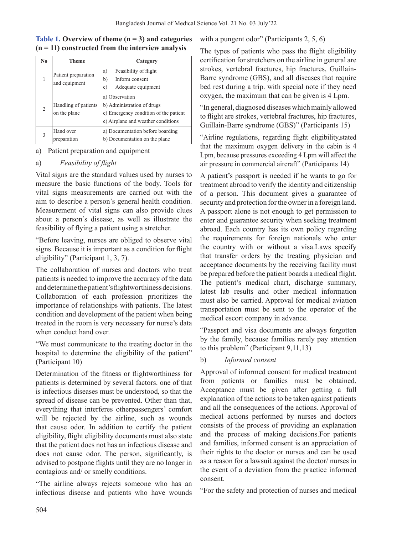| No             | <b>Theme</b>                         | Category                                                                                                                    |
|----------------|--------------------------------------|-----------------------------------------------------------------------------------------------------------------------------|
|                | Patient preparation<br>and equipment | Feasibility of flight<br>a)<br>Inform consent<br>b)<br>Adequate equipment<br>c)                                             |
| $\overline{2}$ | Handling of patients<br>on the plane | a) Observation<br>b) Administration of drugs<br>c) Emergency condition of the patient<br>e) Airplane and weather conditions |
| 3              | Hand over<br>preparation             | a) Documentation before boarding<br>b) Documentation on the plane                                                           |

# **Table 1. Overview of theme (n = 3) and categories (n = 11) constructed from the interview analysis**

### a) Patient preparation and equipment

### a) *Feasibility of flight*

Vital signs are the standard values used by nurses to measure the basic functions of the body. Tools for vital signs measurements are carried out with the aim to describe a person's general health condition. Measurement of vital signs can also provide clues about a person's disease, as well as illustrate the feasibility of flying a patient using a stretcher.

"Before leaving, nurses are obliged to observe vital signs. Because it is important as a condition for flight eligibility" (Participant 1, 3, 7).

The collaboration of nurses and doctors who treat patients is needed to improve the accuracy of the data and determine the patient's flightworthiness decisions. Collaboration of each profession prioritizes the importance of relationships with patients. The latest condition and development of the patient when being treated in the room is very necessary for nurse's data when conduct hand over.

"We must communicate to the treating doctor in the hospital to determine the eligibility of the patient" (Participant 10)

Determination of the fitness or flightworthiness for patients is determined by several factors. one of that is infectious diseases must be understood, so that the spread of disease can be prevented. Other than that, everything that interferes otherpassengers' comfort will be rejected by the airline, such as wounds that cause odor. In addition to certify the patient eligibility, flight eligibility documents must also state that the patient does not has an infectious disease and does not cause odor. The person, significantly, is advised to postpone flights until they are no longer in contagious and/ or smelly conditions.

"The airline always rejects someone who has an infectious disease and patients who have wounds

with a pungent odor" (Participants 2, 5, 6)

The types of patients who pass the flight eligibility certification for stretchers on the airline in general are strokes, vertebral fractures, hip fractures, Guillain-Barre syndrome (GBS), and all diseases that require bed rest during a trip. with special note if they need oxygen, the maximum that can be given is 4 Lpm.

"In general, diagnosed diseases which mainly allowed to flight are strokes, vertebral fractures, hip fractures, Guillain-Barre syndrome (GBS)" (Participants 15)

"Airline regulations, regarding flight eligibility,stated that the maximum oxygen delivery in the cabin is 4 Lpm, because pressures exceeding 4 Lpm will affect the air pressure in commercial aircraft" (Participants 14)

A patient's passport is needed if he wants to go for treatment abroad to verify the identity and citizenship of a person. This document gives a guarantee of security and protection for the owner in a foreign land. A passport alone is not enough to get permission to enter and guarantee security when seeking treatment abroad. Each country has its own policy regarding the requirements for foreign nationals who enter the country with or without a visa.Laws specify that transfer orders by the treating physician and acceptance documents by the receiving facility must be prepared before the patient boards a medical flight. The patient's medical chart, discharge summary, latest lab results and other medical information must also be carried. Approval for medical aviation transportation must be sent to the operator of the medical escort company in advance.

"Passport and visa documents are always forgotten by the family, because families rarely pay attention to this problem" (Participant 9,11,13)

### b) *Informed consent*

Approval of informed consent for medical treatment from patients or families must be obtained. Acceptance must be given after getting a full explanation of the actions to be taken against patients and all the consequences of the actions. Approval of medical actions performed by nurses and doctors consists of the process of providing an explanation and the process of making decisions.For patients and families, informed consent is an appreciation of their rights to the doctor or nurses and can be used as a reason for a lawsuit against the doctor/ nurses in the event of a deviation from the practice informed consent.

"For the safety and protection of nurses and medical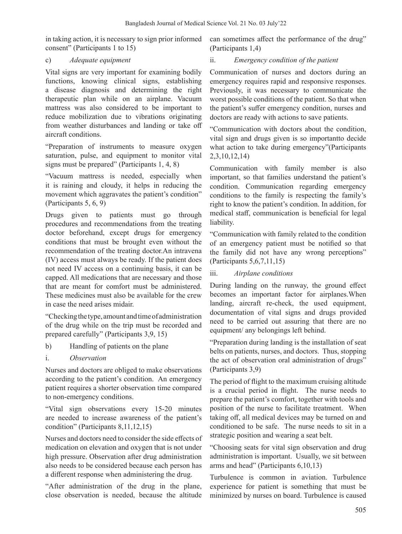in taking action, it is necessary to sign prior informed consent" (Participants 1 to 15)

## c) *Adequate equipment*

Vital signs are very important for examining bodily functions, knowing clinical signs, establishing a disease diagnosis and determining the right therapeutic plan while on an airplane. Vacuum mattress was also considered to be important to reduce mobilization due to vibrations originating from weather disturbances and landing or take off aircraft conditions.

"Preparation of instruments to measure oxygen saturation, pulse, and equipment to monitor vital signs must be prepared" (Participants 1, 4, 8)

"Vacuum mattress is needed, especially when it is raining and cloudy, it helps in reducing the movement which aggravates the patient's condition" (Participants 5, 6, 9)

Drugs given to patients must go through procedures and recommendations from the treating doctor beforehand, except drugs for emergency conditions that must be brought even without the recommendation of the treating doctor.An intravena (IV) access must always be ready. If the patient does not need IV access on a continuing basis, it can be capped. All medications that are necessary and those that are meant for comfort must be administered. These medicines must also be available for the crew in case the need arises midair.

"Checking the type, amount and time of administration of the drug while on the trip must be recorded and prepared carefully" (Participants 3,9, 15)

- b) Handling of patients on the plane
- i. *Observation*

Nurses and doctors are obliged to make observations according to the patient's condition. An emergency patient requires a shorter observation time compared to non-emergency conditions.

"Vital sign observations every 15-20 minutes are needed to increase awareness of the patient's condition" (Participants 8,11,12,15)

Nurses and doctors need to consider the side effects of medication on elevation and oxygen that is not under high pressure. Observation after drug administration also needs to be considered because each person has a different response when administering the drug.

"After administration of the drug in the plane, close observation is needed, because the altitude

can sometimes affect the performance of the drug" (Participants 1,4)

# ii. *Emergency condition of the patient*

Communication of nurses and doctors during an emergency requires rapid and responsive responses. Previously, it was necessary to communicate the worst possible conditions of the patient. So that when the patient's suffer emergency condition, nurses and doctors are ready with actions to save patients.

"Communication with doctors about the condition, vital sign and drugs given is so importantto decide what action to take during emergency"(Participants 2,3,10,12,14)

Communication with family member is also important, so that families understand the patient's condition. Communication regarding emergency conditions to the family is respecting the family's right to know the patient's condition. In addition, for medical staff, communication is beneficial for legal liability.

"Communication with family related to the condition of an emergency patient must be notified so that the family did not have any wrong perceptions" (Participants 5,6,7,11,15)

iii. *Airplane conditions*

During landing on the runway, the ground effect becomes an important factor for airplanes.When landing, aircraft re-check, the used equipment, documentation of vital signs and drugs provided need to be carried out assuring that there are no equipment/ any belongings left behind.

"Preparation during landing is the installation of seat belts on patients, nurses, and doctors. Thus, stopping the act of observation oral administration of drugs" (Participants 3,9)

The period of flight to the maximum cruising altitude is a crucial period in flight. The nurse needs to prepare the patient's comfort, together with tools and position of the nurse to facilitate treatment. When taking off, all medical devices may be turned on and conditioned to be safe. The nurse needs to sit in a strategic position and wearing a seat belt.

"Choosing seats for vital sign observation and drug administration is important. Usually, we sit between arms and head" (Participants 6,10,13)

Turbulence is common in aviation. Turbulence experience for patient is something that must be minimized by nurses on board. Turbulence is caused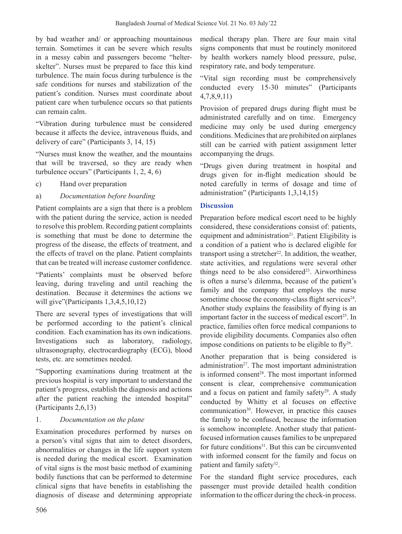by bad weather and/ or approaching mountainous terrain. Sometimes it can be severe which results in a messy cabin and passengers become "helterskelter". Nurses must be prepared to face this kind turbulence. The main focus during turbulence is the safe conditions for nurses and stabilization of the patient's condition. Nurses must coordinate about patient care when turbulence occurs so that patients can remain calm.

"Vibration during turbulence must be considered because it affects the device, intravenous fluids, and delivery of care" (Participants 3, 14, 15)

"Nurses must know the weather, and the mountains that will be traversed, so they are ready when turbulence occurs" (Participants 1, 2, 4, 6)

- c) Hand over preparation
- a) *Documentation before boarding*

Patient complaints are a sign that there is a problem with the patient during the service, action is needed to resolve this problem. Recording patient complaints is something that must be done to determine the progress of the disease, the effects of treatment, and the effects of travel on the plane. Patient complaints that can be treated will increase customer confidence.

"Patients' complaints must be observed before leaving, during traveling and until reaching the destination. Because it determines the actions we will give"(Participants 1,3,4,5,10,12)

There are several types of investigations that will be performed according to the patient's clinical condition. Each examination has its own indications. Investigations such as laboratory, radiology, ultrasonography, electrocardiography (ECG), blood tests, etc. are sometimes needed.

"Supporting examinations during treatment at the previous hospital is very important to understand the patient's progress, establish the diagnosis and actions after the patient reaching the intended hospital" (Participants 2,6,13)

# 1. *Documentation on the plane*

Examination procedures performed by nurses on a person's vital signs that aim to detect disorders, abnormalities or changes in the life support system is needed during the medical escort. Examination of vital signs is the most basic method of examining bodily functions that can be performed to determine clinical signs that have benefits in establishing the diagnosis of disease and determining appropriate

medical therapy plan. There are four main vital signs components that must be routinely monitored by health workers namely blood pressure, pulse, respiratory rate, and body temperature.

"Vital sign recording must be comprehensively conducted every 15-30 minutes" (Participants 4,7,8,9,11)

Provision of prepared drugs during flight must be administrated carefully and on time. Emergency medicine may only be used during emergency conditions. Medicines that are prohibited on airplanes still can be carried with patient assignment letter accompanying the drugs.

"Drugs given during treatment in hospital and drugs given for in-flight medication should be noted carefully in terms of dosage and time of administration" (Participants 1,3,14,15)

# **Discussion**

Preparation before medical escort need to be highly considered, these considerations consist of: patients, equipment and administration<sup>21</sup>. Patient Eligibility is a condition of a patient who is declared eligible for transport using a stretcher<sup>22</sup>. In addition, the weather, state activities, and regulations were several other things need to be also considered<sup>23</sup>. Airworthiness is often a nurse's dilemma, because of the patient's family and the company that employs the nurse sometime choose the economy-class flight services<sup>24</sup>. Another study explains the feasibility of flying is an important factor in the success of medical escort<sup>25</sup>. In practice, families often force medical companions to provide eligibility documents. Companies also often impose conditions on patients to be eligible to  $fly^{26}$ .

Another preparation that is being considered is administration $27$ . The most important administration is informed consent<sup>28</sup>. The most important informed consent is clear, comprehensive communication and a focus on patient and family safety<sup>29</sup>. A study conducted by Whitty et al focuses on effective communication<sup>30</sup>. However, in practice this causes the family to be confused, because the information is somehow incomplete. Another study that patientfocused information causes families to be unprepared for future conditions<sup>31</sup>. But this can be circumvented with informed consent for the family and focus on patient and family safety<sup>32</sup>.

For the standard flight service procedures, each passenger must provide detailed health condition information to the officer during the check-in process.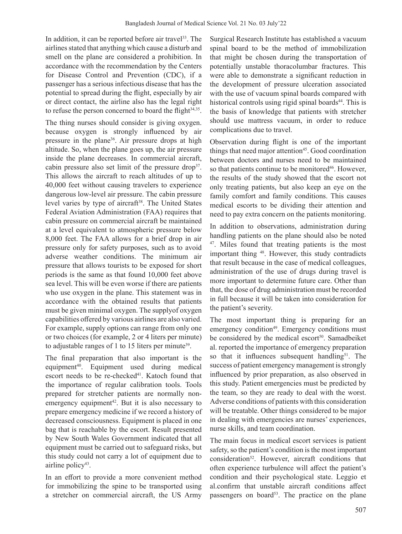In addition, it can be reported before air travel<sup>33</sup>. The airlines stated that anything which cause a disturb and smell on the plane are considered a prohibition. In accordance with the recommendation by the Centers for Disease Control and Prevention (CDC), if a passenger has a serious infectious disease that has the potential to spread during the flight, especially by air or direct contact, the airline also has the legal right to refuse the person concerned to board the flight<sup>34,35</sup>.

The thing nurses should consider is giving oxygen. because oxygen is strongly influenced by air pressure in the plane<sup>36</sup>. Air pressure drops at high altitude. So, when the plane goes up, the air pressure inside the plane decreases. In commercial aircraft, cabin pressure also set limit of the pressure drop<sup>37</sup>. This allows the aircraft to reach altitudes of up to 40,000 feet without causing travelers to experience dangerous low-level air pressure. The cabin pressure level varies by type of aircraft<sup>38</sup>. The United States Federal Aviation Administration (FAA) requires that cabin pressure on commercial aircraft be maintained at a level equivalent to atmospheric pressure below 8,000 feet. The FAA allows for a brief drop in air pressure only for safety purposes, such as to avoid adverse weather conditions. The minimum air pressure that allows tourists to be exposed for short periods is the same as that found 10,000 feet above sea level. This will be even worse if there are patients who use oxygen in the plane. This statement was in accordance with the obtained results that patients must be given minimal oxygen. The supplyof oxygen capabilities offered by various airlines are also varied. For example, supply options can range from only one or two choices (for example, 2 or 4 liters per minute) to adjustable ranges of 1 to 15 liters per minute<sup>39</sup>.

The final preparation that also important is the equipment<sup>40</sup>. Equipment used during medical escort needs to be re-checked<sup>41</sup>. Katoch found that the importance of regular calibration tools. Tools prepared for stretcher patients are normally nonemergency equipment<sup>42</sup>. But it is also necessary to prepare emergency medicine if we record a history of decreased consciousness. Equipment is placed in one bag that is reachable by the escort. Result presented by New South Wales Government indicated that all equipment must be carried out to safeguard risks, but this study could not carry a lot of equipment due to airline policy $43$ .

In an effort to provide a more convenient method for immobilizing the spine to be transported using a stretcher on commercial aircraft, the US Army

Surgical Research Institute has established a vacuum spinal board to be the method of immobilization that might be chosen during the transportation of potentially unstable thoracolumbar fractures. This were able to demonstrate a significant reduction in the development of pressure ulceration associated with the use of vacuum spinal boards compared with historical controls using rigid spinal boards<sup>44</sup>. This is the basis of knowledge that patients with stretcher should use mattress vacuum, in order to reduce complications due to travel.

Observation during flight is one of the important things that need major attention<sup>45</sup>. Good coordination between doctors and nurses need to be maintained so that patients continue to be monitored<sup>46</sup>. However, the results of the study showed that the escort not only treating patients, but also keep an eye on the family comfort and family conditions. This causes medical escorts to be dividing their attention and need to pay extra concern on the patients monitoring.

In addition to observations, administration during handling patients on the plane should also be noted <sup>47</sup>. Miles found that treating patients is the most important thing 48. However, this study contradicts that result because in the case of medical colleagues, administration of the use of drugs during travel is more important to determine future care. Other than that, the dose of drug administration must be recorded in full because it will be taken into consideration for the patient's severity.

The most important thing is preparing for an emergency condition<sup>49</sup>. Emergency conditions must be considered by the medical escort<sup>50</sup>. Samadbeiket al. reported the importance of emergency preparation so that it influences subsequent handling<sup>51</sup>. The success of patient emergency management is strongly influenced by prior preparation, as also observed in this study. Patient emergencies must be predicted by the team, so they are ready to deal with the worst. Adverse conditions of patients with this consideration will be treatable. Other things considered to be major in dealing with emergencies are nurses' experiences, nurse skills, and team coordination.

The main focus in medical escort services is patient safety, so the patient's condition is the most important consideration52. However, aircraft conditions that often experience turbulence will affect the patient's condition and their psychological state. Leggio et al.confirm that unstable aircraft conditions affect passengers on board<sup>53</sup>. The practice on the plane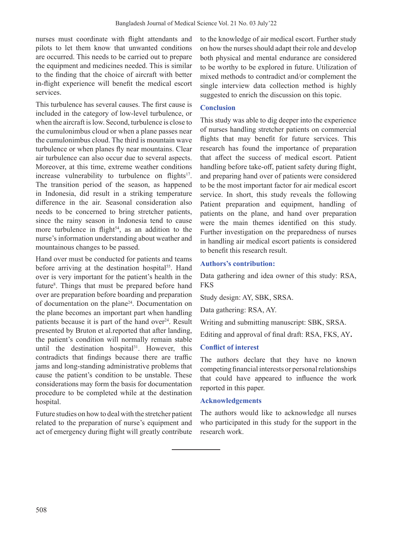nurses must coordinate with flight attendants and pilots to let them know that unwanted conditions are occurred. This needs to be carried out to prepare the equipment and medicines needed. This is similar to the finding that the choice of aircraft with better in-flight experience will benefit the medical escort services.

This turbulence has several causes. The first cause is included in the category of low-level turbulence, or when the aircraft is low. Second, turbulence is close to the cumulonimbus cloud or when a plane passes near the cumulonimbus cloud. The third is mountain wave turbulence or when planes fly near mountains. Clear air turbulence can also occur due to several aspects. Moreover, at this time, extreme weather conditions increase vulnerability to turbulence on flights<sup>17</sup>. The transition period of the season, as happened in Indonesia, did result in a striking temperature difference in the air. Seasonal consideration also needs to be concerned to bring stretcher patients, since the rainy season in Indonesia tend to cause more turbulence in flight<sup>54</sup>, as an addition to the nurse's information understanding about weather and mountainous changes to be passed.

Hand over must be conducted for patients and teams before arriving at the destination hospital<sup>55</sup>. Hand over is very important for the patient's health in the future<sup>8</sup>. Things that must be prepared before hand over are preparation before boarding and preparation of documentation on the plane24. Documentation on the plane becomes an important part when handling patients because it is part of the hand over<sup>24</sup>. Result presented by Bruton et al.reported that after landing, the patient's condition will normally remain stable until the destination hospital<sup>31</sup>. However, this contradicts that findings because there are traffic jams and long-standing administrative problems that cause the patient's condition to be unstable. These considerations may form the basis for documentation procedure to be completed while at the destination hospital.

Future studies on how to deal with the stretcher patient related to the preparation of nurse's equipment and act of emergency during flight will greatly contribute to the knowledge of air medical escort. Further study on how the nurses should adapt their role and develop both physical and mental endurance are considered to be worthy to be explored in future. Utilization of mixed methods to contradict and/or complement the single interview data collection method is highly suggested to enrich the discussion on this topic.

## **Conclusion**

This study was able to dig deeper into the experience of nurses handling stretcher patients on commercial flights that may benefit for future services. This research has found the importance of preparation that affect the success of medical escort. Patient handling before take-off, patient safety during flight, and preparing hand over of patients were considered to be the most important factor for air medical escort service. In short, this study reveals the following Patient preparation and equipment, handling of patients on the plane, and hand over preparation were the main themes identified on this study. Further investigation on the preparedness of nurses in handling air medical escort patients is considered to benefit this research result.

## **Authors's contribution:**

Data gathering and idea owner of this study: RSA, FKS

Study design: AY, SBK, SRSA.

Data gathering: RSA, AY.

Writing and submitting manuscript: SBK, SRSA.

Editing and approval of final draft: RSA, FKS, AY**.**

### **Conflict of interest**

The authors declare that they have no known competing financial interests or personal relationships that could have appeared to influence the work reported in this paper.

### **Acknowledgements**

The authors would like to acknowledge all nurses who participated in this study for the support in the research work.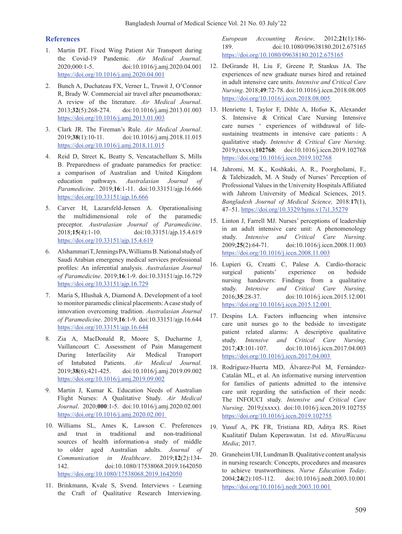#### **References**

- 1. Martin DT. Fixed Wing Patient Air Transport during the Covid-19 Pandemic. *Air Medical Journal*. 2020;000:1-5. doi:10.1016/j.amj.2020.04.001 https://doi.org/10.1016/j.amj.2020.04.001
- 2. Bunch A, Duchateau FX, Verner L, Truwit J, O'Connor R, Brady W. Commercial air travel after pneumothorax: A review of the literature. *Air Medical Journal*. 2013;**32**(5):268-274. doi:10.1016/j.amj.2013.01.003 https://doi.org/10.1016/j.amj.2013.01.003
- 3. Clark JR. The Fireman's Rule. *Air Medical Journal*. 2019;**38**(1):10-11. doi:10.1016/j.amj.2018.11.015 https://doi.org/10.1016/j.amj.2018.11.015
- 4. Reid D, Street K, Beatty S, Vencatachellum S, Mills B. Preparedness of graduate paramedics for practice: a comparison of Australian and United Kingdom education pathways. *Australasian Journal of Paramedicine*. 2019;**16**:1-11. doi:10.33151/ajp.16.666 https://doi.org/10.33151/ajp.16.666
- 5. Carver H, Lazarsfeld-Jensen A. Operationalising the multidimensional role of the paramedic preceptor. *Australasian Journal of Paramedicine*. 2018;**15**(4):1-10. doi:10.33151/ajp.15.4.619 https://doi.org/10.33151/ajp.15.4.619
- 6. Alshammari T, Jennings PA, Williams B. National study of Saudi Arabian emergency medical services professional profiles: An inferential analysis. *Australasian Journal of Paramedicine*. 2019;**16**:1-9. doi:10.33151/ajp.16.729 https://doi.org/10.33151/ajp.16.729
- 7. Maria S, Hlushak A, Diamond A. Development of a tool to monitor paramedic clinical placements:Acase study of innovation overcoming tradition. *Australasian Journal of Paramedicine*. 2019;**16**:1-9. doi:10.33151/ajp.16.644 https://doi.org/10.33151/ajp.16.644
- 8. Zia A, MacDonald R, Moore S, Ducharme J, Vaillancourt C. Assessment of Pain Management During Interfacility Air Medical Transport of Intubated Patients. *Air Medical Journal*. 2019;**38**(6):421-425. doi:10.1016/j.amj.2019.09.002 https://doi.org/10.1016/j.amj.2019.09.002
- 9. Martin J, Kumar K. Education Needs of Australian Flight Nurses: A Qualitative Study. *Air Medical Journal*. 2020;**000**:1-5. doi:10.1016/j.amj.2020.02.001 https://doi.org/10.1016/j.amj.2020.02.001
- 10. Williams SL, Ames K, Lawson C. Preferences and trust in traditional and non-traditional sources of health information-a study of middle to older aged Australian adults. *Journal of Communication in Healthcare*. 2019;**12**(2):134- 142. doi:10.1080/17538068.2019.1642050 https://doi.org/10.1080/17538068.2019.1642050
- 11. Brinkmann, Kvale S, Svend. Interviews Learning the Craft of Qualitative Research Interviewing.

*European Accounting Review*. 2012;**21**(1):186- 189. doi:10.1080/09638180.2012.675165 https://doi.org/10.1080/09638180.2012.675165

- 12. DeGrande H, Liu F, Greene P, Stankus JA. The experiences of new graduate nurses hired and retained in adult intensive care units. *Intensive and Critical Care Nursing*. 2018;**49**:72-78. doi:10.1016/j.iccn.2018.08.005 https://doi.org/10.1016/j.iccn.2018.08.005
- 13. Henriette I, Taylor F, Dihle A, Hofsø K, Alexander S. Intensive & Critical Care Nursing Intensive care nurses ' experiences of withdrawal of lifesustaining treatments in intensive care patients : A qualitative study. *Intensive & Critical Care Nursing*. 2019;(xxxx);**102768**: doi:10.1016/j.iccn.2019.102768 https://doi.org/10.1016/j.iccn.2019.102768
- 14. Jahromi, M. K., Koshkaki, A. R., Poorgholami, F., & Talebizadeh, M. A Study of Nurses' Perception of Professional Values in the University Hospitals Affiliated with Jahrom University of Medical Sciences, 2015. *Bangladesh Journal of Medical Science,* 2018:**17**(1), 47–51. https://doi.org/10.3329/bjms.v17i1.35279
- 15. Linton J, Farrell MJ. Nurses' perceptions of leadership in an adult intensive care unit: A phenomenology study. *Intensive and Critical Care Nursing*. 2009;**25**(2):64-71. doi:10.1016/j.iccn.2008.11.003 https://doi.org/10.1016/j.iccn.2008.11.003
- 16. Lupieri G, Creatti C, Palese A. Cardio-thoracic surgical patients' experience on bedside nursing handovers: Findings from a qualitative study. *Intensive and Critical Care Nursing*. 2016;**35**:28-37. doi:10.1016/j.iccn.2015.12.001 https://doi.org/10.1016/j.iccn.2015.12.001
- 17. Despins LA. Factors influencing when intensive care unit nurses go to the bedside to investigate patient related alarms: A descriptive qualitative study. *Intensive and Critical Care Nursing*. 2017;**43**:101-107. doi:10.1016/j.iccn.2017.04.003 https://doi.org/10.1016/j.iccn.2017.04.003
- 18. Rodríguez-Huerta MD, Álvarez-Pol M, Fernández-Catalán ML, et al. An informative nursing intervention for families of patients admitted to the intensive care unit regarding the satisfaction of their needs: The INFOUCI study. *Intensive and Critical Care Nursing*. 2019;(xxxx). doi:10.1016/j.iccn.2019.102755 https://doi.org/10.1016/j.iccn.2019.102755
- 19. Yusuf A, PK FR, Tristiana RD, Aditya RS. Riset Kualitatif Dalam Keperawatan. 1st ed. *MitraWacana Media*; 2017.
- 20. Graneheim UH, Lundman B. Qualitative content analysis in nursing research: Concepts, procedures and measures to achieve trustworthiness*. Nurse Education Today*. 2004;**24**(2):105-112. doi:10.1016/j.nedt.2003.10.001 https://doi.org/10.1016/j.nedt.2003.10.001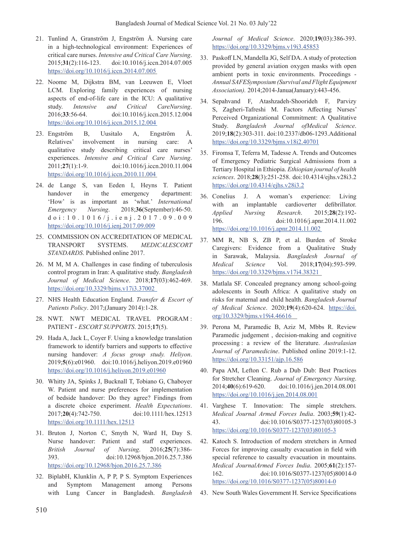- 21. Tunlind A, Granström J, Engström Å. Nursing care in a high-technological environment: Experiences of critical care nurses. *Intensive and Critical Care Nursing*. 2015;**31**(2):116-123. doi:10.1016/j.iccn.2014.07.005 https://doi.org/10.1016/j.iccn.2014.07.005
- 22. Noome M, Dijkstra BM, van Leeuwen E, Vloet LCM. Exploring family experiences of nursing aspects of end-of-life care in the ICU: A qualitative study. *Intensive and Critical CareNursing*. 2016;**33**:56-64. doi:10.1016/j.iccn.2015.12.004 https://doi.org/10.1016/j.iccn.2015.12.004
- 23. Engström B, Uusitalo A, Engström Å. Relatives' involvement in nursing care: A qualitative study describing critical care nurses' experiences. *Intensive and Critical Care Nursing*. 2011;**27**(1):1-9. doi:10.1016/j.iccn.2010.11.004 https://doi.org/10.1016/j.iccn.2010.11.004
- 24. de Lange S, van Eeden I, Heyns T. Patient handover in the emergency department: 'How' is as important as 'what.' *International Emergency Nursing*. 2018;**36**(September):46-50. doi:10.1016/j.ienj.2017.09.009 https://doi.org/10.1016/j.ienj.2017.09.009
- 25. COMMISSION ON ACCREDITATION OF MEDICAL TRANSPORT SYSTEMS. *MEDICALESCORT STANDARDS*. Published online 2017.
- 26. M M, M A. Challenges in case finding of tuberculosis control program in Iran: A qualitative study. *Bangladesh Journal of Medical Science*. 2018;**17**(03):462-469. https://doi.org/10.3329/bjms.v17i3.37002
- 27. NHS Health Education England. *Transfer & Escort of Patients Policy*. 2017;(January 2014):1-28.
- 28. NWT. NWT MEDICAL TRAVEL PROGRAM : PATIENT ‐ *ESCORT SUPPORTS*. 2015;**17**(5).
- 29. Hada A, Jack L, Coyer F. Using a knowledge translation framework to identify barriers and supports to effective nursing handover: *A focus group study. Heliyon*. 2019;**5**(6):e01960. doi:10.1016/j.heliyon.2019.e01960 https://doi.org/10.1016/j.heliyon.2019.e01960
- 30. Whitty JA, Spinks J, Bucknall T, Tobiano G, Chaboyer W. Patient and nurse preferences for implementation of bedside handover: Do they agree? Findings from a discrete choice experiment. *Health Expectations*. 2017;**20**(4):742-750. doi:10.1111/hex.12513 https://doi.org/10.1111/hex.12513
- 31. Bruton J, Norton C, Smyth N, Ward H, Day S. Nurse handover: Patient and staff experiences. *British Journal of Nursing*. 2016;**25**(7):386- 393. doi:10.12968/bjon.2016.25.7.386 https://doi.org/10.12968/bjon.2016.25.7.386
- 32. BiplabH, Klunklin A, P P, P S. Symptom Experiences and Symptom Management among Persons with Lung Cancer in Bangladesh. *Bangladesh*

*Journal of Medical Science*. 2020;**19**(03):386-393. https://doi.org/10.3329/bjms.v19i3.45853

- 33. Paskoff LN, Mandella JG, Self DA. A study of protection provided by general aviation oxygen masks with open ambient ports in toxic environments. Proceedings - *Annual SAFESymposium (Survival and Flight Equipment Association).* 2014;2014-Janua(January):443-456.
- 34. Sepahvand F, Atashzadeh-Shoorideh F, Parvizy S, Zagheri-Tafreshi M. Factors Affecting Nurses' Perceived Organizational Commitment: A Qualitative Study. *Bangladesh Journal ofMedical Science*. 2019;**18**(2):303-311. doi:10.2337/db06-1293.Additional https://doi.org/10.3329/bjms.v18i2.40701
- 35. Firomsa T, Teferra M, Tadesse A. Trends and Outcomes of Emergency Pediatric Surgical Admissions from a Tertiary Hospital in Ethiopia. *Ethiopian journal of health sciences*. 2018;**28**(3):251-258. doi:10.4314/ejhs.v28i3.2 https://doi.org/10.4314/ejhs.v28i3.2
- 36. Conelius J. A woman's experience: Living with an implantable cardioverter defibrillator. *Applied Nursing Research*. 2015;**28**(2):192- 196. doi:10.1016/j.apnr.2014.11.002 https://doi.org/10.1016/j.apnr.2014.11.002
- 37. MM R, NB S, ZB P, et al. Burden of Stroke Caregivers: Evidence from a Qualitative Study in Sarawak, Malaysia. *Bangladesh Journal of Medical Science* Vol. 2018;**17**(04):593-599. https://doi.org/10.3329/bjms.v17i4.38321
- 38. Matlala SF. Concealed pregnancy among school-going adolescents in South Africa: A qualitative study on risks for maternal and child health. *Bangladesh Journal of Medical Science*. 2020;**19**(4):620-624. https://doi. org/10.3329/bjms.v19i4.46616
- 39. Perona M, Paramedic B, Aziz M, Mbbs R. Review Paramedic judgement , decision-making and cognitive processing : a review of the literature. *Australasian Journal of Paramedicine*. Published online 2019:1-12. https://doi.org/10.33151/ajp.16.586
- 40. Papa AM, Lefton C. Rub a Dub Dub: Best Practices for Stretcher Cleaning. *Journal of Emergency Nursing*. 2014;**40**(6):619-620. doi:10.1016/j.jen.2014.08.001 https://doi.org/10.1016/j.jen.2014.08.001
- 41. Varghese T. Innovation: The simple stretchers. *Medical Journal Armed Forces India*. 2003;**59**(1):42- 43. doi:10.1016/S0377-1237(03)80105-3 https://doi.org/10.1016/S0377-1237(03)80105-3
- 42. Katoch S. Introduction of modern stretchers in Armed Forces for improving casualty evacuation in field with special reference to casualty evacuation in mountains. *Medical JournalArmed Forces India*. 2005;**61**(2):157- 162. doi:10.1016/S0377-1237(05)80014-0 https://doi.org/10.1016/S0377-1237(05)80014-0
- 43. New South Wales Government H. Service Specifications